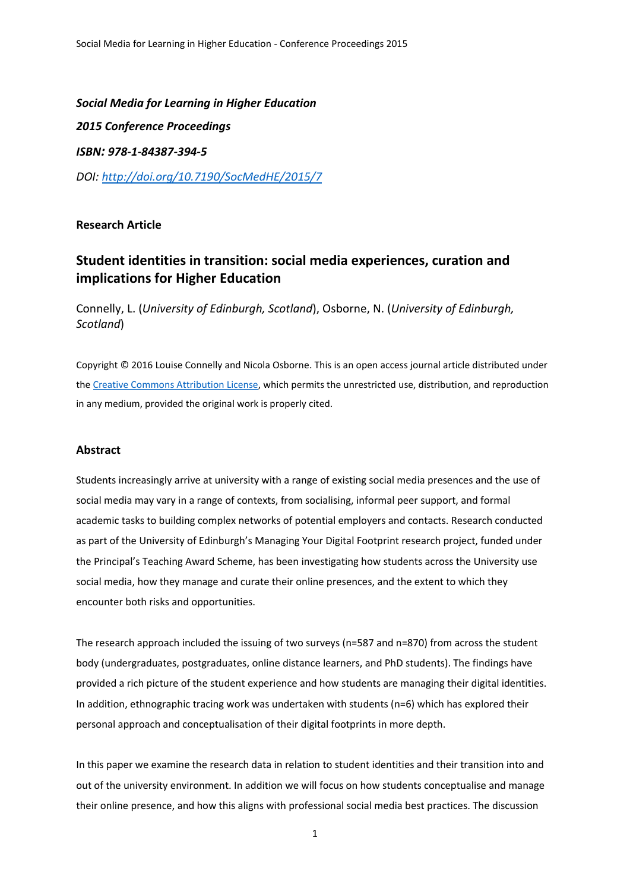*Social Media for Learning in Higher Education 2015 Conference Proceedings ISBN: 978-1-84387-394-5 DOI: <http://doi.org/10.7190/SocMedHE/2015/7>*

# **Research Article**

# **Student identities in transition: social media experiences, curation and implications for Higher Education**

Connelly, L. (*University of Edinburgh, Scotland*), Osborne, N. (*University of Edinburgh, Scotland*)

Copyright © 2016 Louise Connelly and Nicola Osborne. This is an open access journal article distributed under the [Creative Commons Attribution License,](http://creativecommons.org/licenses/by/3.0/legalcode) which permits the unrestricted use, distribution, and reproduction in any medium, provided the original work is properly cited.

# **Abstract**

Students increasingly arrive at university with a range of existing social media presences and the use of social media may vary in a range of contexts, from socialising, informal peer support, and formal academic tasks to building complex networks of potential employers and contacts. Research conducted as part of the University of Edinburgh's Managing Your Digital Footprint research project, funded under the Principal's Teaching Award Scheme, has been investigating how students across the University use social media, how they manage and curate their online presences, and the extent to which they encounter both risks and opportunities.

The research approach included the issuing of two surveys (n=587 and n=870) from across the student body (undergraduates, postgraduates, online distance learners, and PhD students). The findings have provided a rich picture of the student experience and how students are managing their digital identities. In addition, ethnographic tracing work was undertaken with students (n=6) which has explored their personal approach and conceptualisation of their digital footprints in more depth.

In this paper we examine the research data in relation to student identities and their transition into and out of the university environment. In addition we will focus on how students conceptualise and manage their online presence, and how this aligns with professional social media best practices. The discussion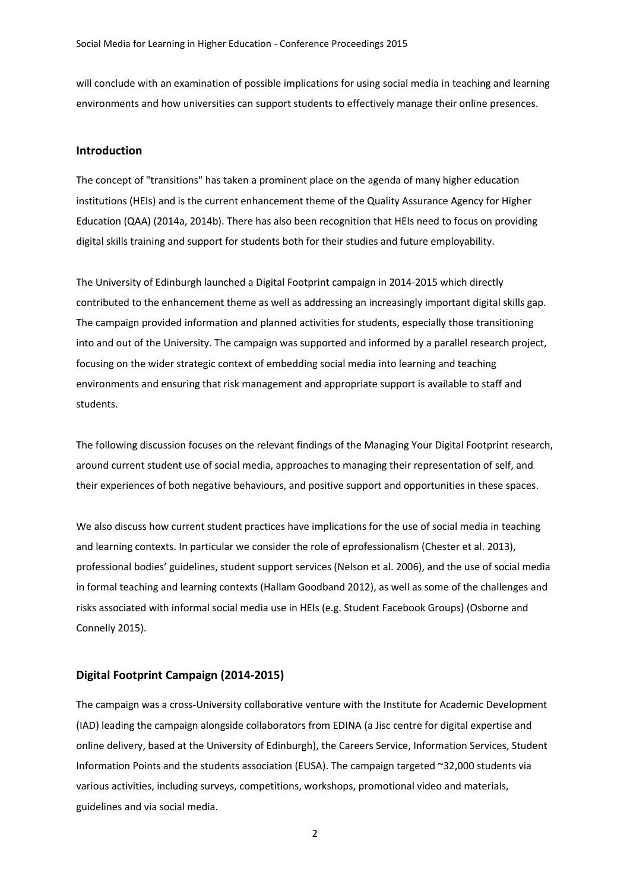will conclude with an examination of possible implications for using social media in teaching and learning environments and how universities can support students to effectively manage their online presences.

## **Introduction**

The concept of "transitions" has taken a prominent place on the agenda of many higher education institutions (HEIs) and is the current enhancement theme of the Quality Assurance Agency for Higher Education (QAA) (2014a, 2014b). There has also been recognition that HEIs need to focus on providing digital skills training and support for students both for their studies and future employability.

The University of Edinburgh launched a Digital Footprint campaign in 2014-2015 which directly contributed to the enhancement theme as well as addressing an increasingly important digital skills gap. The campaign provided information and planned activities for students, especially those transitioning into and out of the University. The campaign was supported and informed by a parallel research project, focusing on the wider strategic context of embedding social media into learning and teaching environments and ensuring that risk management and appropriate support is available to staff and students.

The following discussion focuses on the relevant findings of the Managing Your Digital Footprint research, around current student use of social media, approaches to managing their representation of self, and their experiences of both negative behaviours, and positive support and opportunities in these spaces.

We also discuss how current student practices have implications for the use of social media in teaching and learning contexts. In particular we consider the role of eprofessionalism (Chester et al. 2013), professional bodies' guidelines, student support services (Nelson et al. 2006), and the use of social media in formal teaching and learning contexts (Hallam Goodband 2012), as well as some of the challenges and risks associated with informal social media use in HEIs (e.g. Student Facebook Groups) (Osborne and Connelly 2015).

#### **Digital Footprint Campaign (2014-2015)**

The campaign was a cross-University collaborative venture with the Institute for Academic Development (IAD) leading the campaign alongside collaborators from EDINA (a Jisc centre for digital expertise and online delivery, based at the University of Edinburgh), the Careers Service, Information Services, Student Information Points and the students association (EUSA). The campaign targeted ~32,000 students via various activities, including surveys, competitions, workshops, promotional video and materials, guidelines and via social media.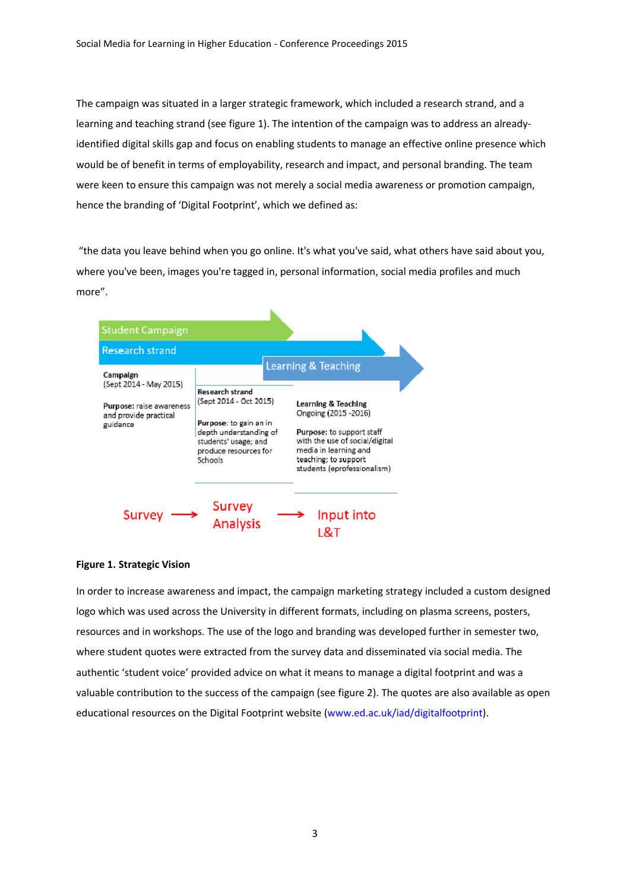The campaign was situated in a larger strategic framework, which included a research strand, and a learning and teaching strand (see figure 1). The intention of the campaign was to address an alreadyidentified digital skills gap and focus on enabling students to manage an effective online presence which would be of benefit in terms of employability, research and impact, and personal branding. The team were keen to ensure this campaign was not merely a social media awareness or promotion campaign, hence the branding of 'Digital Footprint', which we defined as:

"the data you leave behind when you go online. It's what you've said, what others have said about you, where you've been, images you're tagged in, personal information, social media profiles and much more".



# **Figure 1. Strategic Vision**

In order to increase awareness and impact, the campaign marketing strategy included a custom designed logo which was used across the University in different formats, including on plasma screens, posters, resources and in workshops. The use of the logo and branding was developed further in semester two, where student quotes were extracted from the survey data and disseminated via social media. The authentic 'student voice' provided advice on what it means to manage a digital footprint and was a valuable contribution to the success of the campaign (see figure 2). The quotes are also available as open educational resources on the Digital Footprint website [\(www.ed.ac.uk/iad/digitalfootprint\)](http://www.ed.ac.uk/iad/digitalfootprint).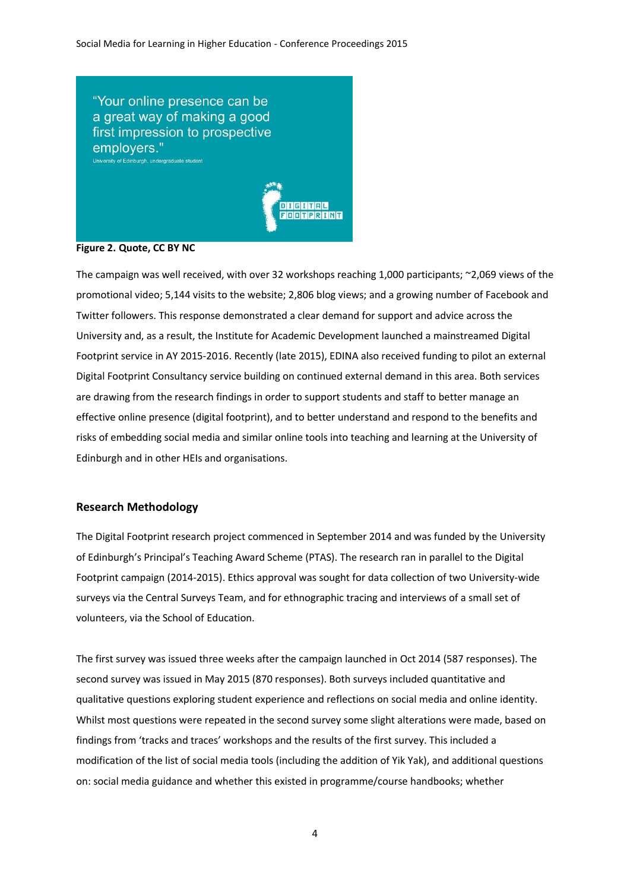

## **Figure 2. Quote, CC BY NC**

The campaign was well received, with over 32 workshops reaching 1,000 participants; ~2,069 views of the promotional video; 5,144 visits to the website; 2,806 blog views; and a growing number of Facebook and Twitter followers. This response demonstrated a clear demand for support and advice across the University and, as a result, the Institute for Academic Development launched a mainstreamed Digital Footprint service in AY 2015-2016. Recently (late 2015), EDINA also received funding to pilot an external Digital Footprint Consultancy service building on continued external demand in this area. Both services are drawing from the research findings in order to support students and staff to better manage an effective online presence (digital footprint), and to better understand and respond to the benefits and risks of embedding social media and similar online tools into teaching and learning at the University of Edinburgh and in other HEIs and organisations.

## **Research Methodology**

The Digital Footprint research project commenced in September 2014 and was funded by the University of Edinburgh's Principal's Teaching Award Scheme (PTAS). The research ran in parallel to the Digital Footprint campaign (2014-2015). Ethics approval was sought for data collection of two University-wide surveys via the Central Surveys Team, and for ethnographic tracing and interviews of a small set of volunteers, via the School of Education.

The first survey was issued three weeks after the campaign launched in Oct 2014 (587 responses). The second survey was issued in May 2015 (870 responses). Both surveys included quantitative and qualitative questions exploring student experience and reflections on social media and online identity. Whilst most questions were repeated in the second survey some slight alterations were made, based on findings from 'tracks and traces' workshops and the results of the first survey. This included a modification of the list of social media tools (including the addition of Yik Yak), and additional questions on: social media guidance and whether this existed in programme/course handbooks; whether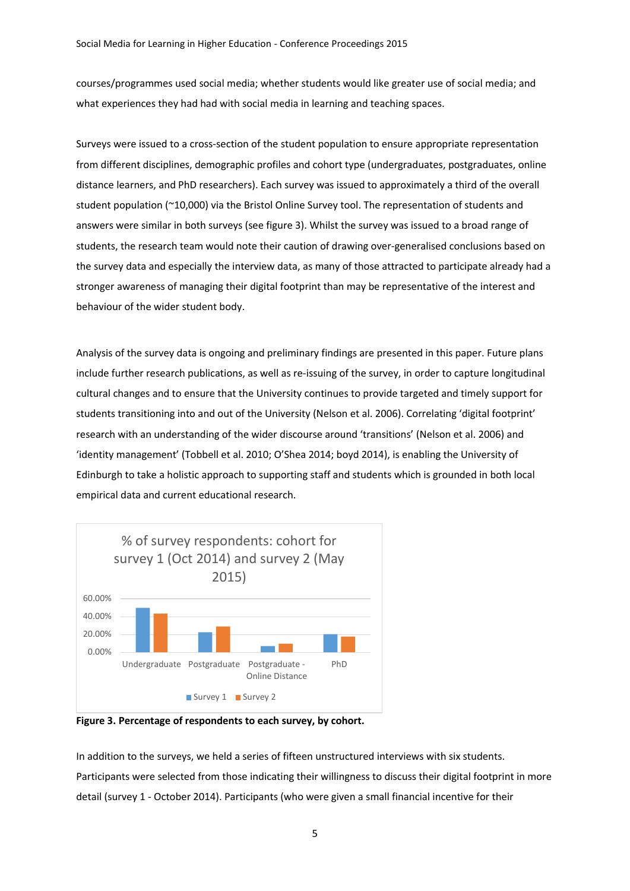courses/programmes used social media; whether students would like greater use of social media; and what experiences they had had with social media in learning and teaching spaces.

Surveys were issued to a cross-section of the student population to ensure appropriate representation from different disciplines, demographic profiles and cohort type (undergraduates, postgraduates, online distance learners, and PhD researchers). Each survey was issued to approximately a third of the overall student population (~10,000) via the Bristol Online Survey tool. The representation of students and answers were similar in both surveys (see figure 3). Whilst the survey was issued to a broad range of students, the research team would note their caution of drawing over-generalised conclusions based on the survey data and especially the interview data, as many of those attracted to participate already had a stronger awareness of managing their digital footprint than may be representative of the interest and behaviour of the wider student body.

Analysis of the survey data is ongoing and preliminary findings are presented in this paper. Future plans include further research publications, as well as re-issuing of the survey, in order to capture longitudinal cultural changes and to ensure that the University continues to provide targeted and timely support for students transitioning into and out of the University (Nelson et al. 2006). Correlating 'digital footprint' research with an understanding of the wider discourse around 'transitions' (Nelson et al. 2006) and 'identity management' (Tobbell et al. 2010; O'Shea 2014; boyd 2014), is enabling the University of Edinburgh to take a holistic approach to supporting staff and students which is grounded in both local empirical data and current educational research.



**Figure 3. Percentage of respondents to each survey, by cohort.**

In addition to the surveys, we held a series of fifteen unstructured interviews with six students. Participants were selected from those indicating their willingness to discuss their digital footprint in more detail (survey 1 - October 2014). Participants (who were given a small financial incentive for their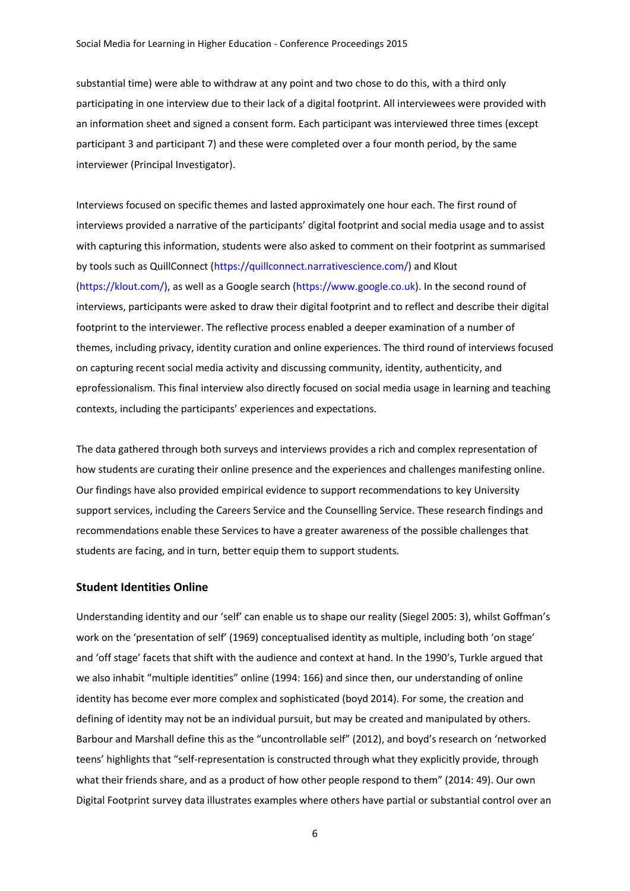substantial time) were able to withdraw at any point and two chose to do this, with a third only participating in one interview due to their lack of a digital footprint. All interviewees were provided with an information sheet and signed a consent form. Each participant was interviewed three times (except participant 3 and participant 7) and these were completed over a four month period, by the same interviewer (Principal Investigator).

Interviews focused on specific themes and lasted approximately one hour each. The first round of interviews provided a narrative of the participants' digital footprint and social media usage and to assist with capturing this information, students were also asked to comment on their footprint as summarised by tools such as QuillConnect [\(https://quillconnect.narrativescience.com/\)](https://quillconnect.narrativescience.com/) and Klout [\(https://klout.com/\)](https://klout.com/), as well as a Google search [\(https://www.google.co.uk\)](https://www.google.co.uk/). In the second round of interviews, participants were asked to draw their digital footprint and to reflect and describe their digital footprint to the interviewer. The reflective process enabled a deeper examination of a number of themes, including privacy, identity curation and online experiences. The third round of interviews focused on capturing recent social media activity and discussing community, identity, authenticity, and eprofessionalism. This final interview also directly focused on social media usage in learning and teaching contexts, including the participants' experiences and expectations.

The data gathered through both surveys and interviews provides a rich and complex representation of how students are curating their online presence and the experiences and challenges manifesting online. Our findings have also provided empirical evidence to support recommendations to key University support services, including the Careers Service and the Counselling Service. These research findings and recommendations enable these Services to have a greater awareness of the possible challenges that students are facing, and in turn, better equip them to support students.

# **Student Identities Online**

Understanding identity and our 'self' can enable us to shape our reality (Siegel 2005: 3), whilst Goffman's work on the 'presentation of self' (1969) conceptualised identity as multiple, including both 'on stage' and 'off stage' facets that shift with the audience and context at hand. In the 1990's, Turkle argued that we also inhabit "multiple identities" online (1994: 166) and since then, our understanding of online identity has become ever more complex and sophisticated (boyd 2014). For some, the creation and defining of identity may not be an individual pursuit, but may be created and manipulated by others. Barbour and Marshall define this as the "uncontrollable self" (2012), and boyd's research on 'networked teens' highlights that "self-representation is constructed through what they explicitly provide, through what their friends share, and as a product of how other people respond to them" (2014: 49). Our own Digital Footprint survey data illustrates examples where others have partial or substantial control over an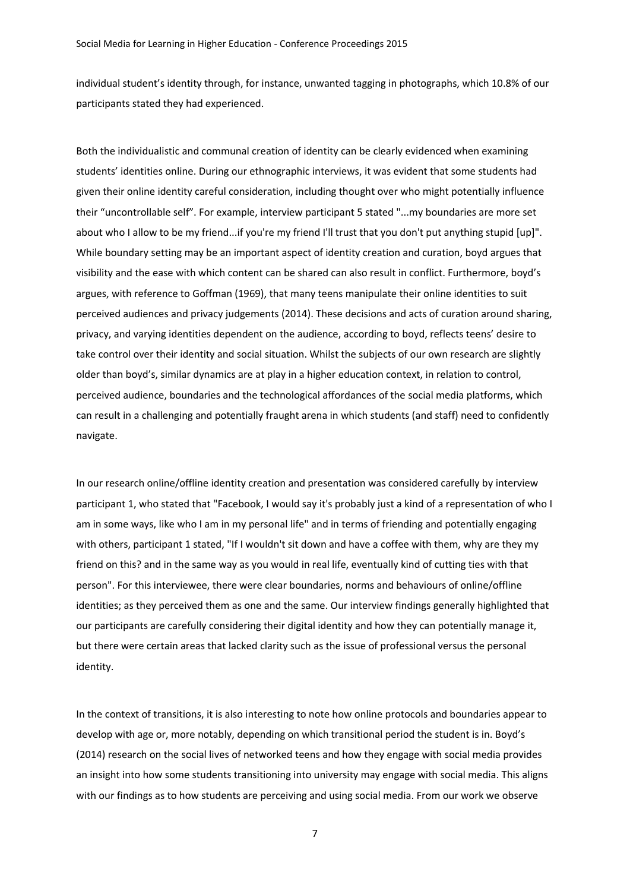individual student's identity through, for instance, unwanted tagging in photographs, which 10.8% of our participants stated they had experienced.

Both the individualistic and communal creation of identity can be clearly evidenced when examining students' identities online. During our ethnographic interviews, it was evident that some students had given their online identity careful consideration, including thought over who might potentially influence their "uncontrollable self". For example, interview participant 5 stated "...my boundaries are more set about who I allow to be my friend...if you're my friend I'll trust that you don't put anything stupid [up]". While boundary setting may be an important aspect of identity creation and curation, boyd argues that visibility and the ease with which content can be shared can also result in conflict. Furthermore, boyd's argues, with reference to Goffman (1969), that many teens manipulate their online identities to suit perceived audiences and privacy judgements (2014). These decisions and acts of curation around sharing, privacy, and varying identities dependent on the audience, according to boyd, reflects teens' desire to take control over their identity and social situation. Whilst the subjects of our own research are slightly older than boyd's, similar dynamics are at play in a higher education context, in relation to control, perceived audience, boundaries and the technological affordances of the social media platforms, which can result in a challenging and potentially fraught arena in which students (and staff) need to confidently navigate.

In our research online/offline identity creation and presentation was considered carefully by interview participant 1, who stated that "Facebook, I would say it's probably just a kind of a representation of who I am in some ways, like who I am in my personal life" and in terms of friending and potentially engaging with others, participant 1 stated, "If I wouldn't sit down and have a coffee with them, why are they my friend on this? and in the same way as you would in real life, eventually kind of cutting ties with that person". For this interviewee, there were clear boundaries, norms and behaviours of online/offline identities; as they perceived them as one and the same. Our interview findings generally highlighted that our participants are carefully considering their digital identity and how they can potentially manage it, but there were certain areas that lacked clarity such as the issue of professional versus the personal identity.

In the context of transitions, it is also interesting to note how online protocols and boundaries appear to develop with age or, more notably, depending on which transitional period the student is in. Boyd's (2014) research on the social lives of networked teens and how they engage with social media provides an insight into how some students transitioning into university may engage with social media. This aligns with our findings as to how students are perceiving and using social media. From our work we observe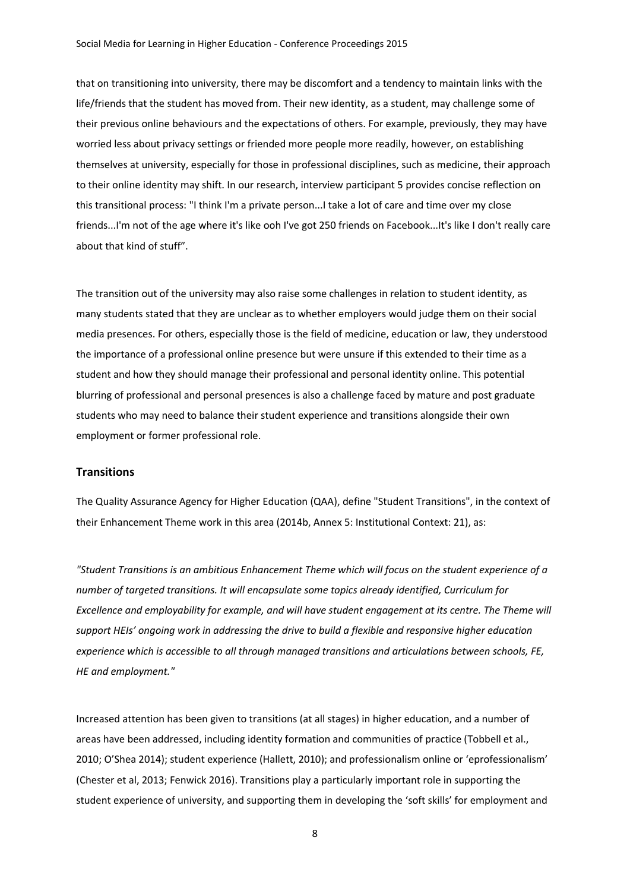that on transitioning into university, there may be discomfort and a tendency to maintain links with the life/friends that the student has moved from. Their new identity, as a student, may challenge some of their previous online behaviours and the expectations of others. For example, previously, they may have worried less about privacy settings or friended more people more readily, however, on establishing themselves at university, especially for those in professional disciplines, such as medicine, their approach to their online identity may shift. In our research, interview participant 5 provides concise reflection on this transitional process: "I think I'm a private person...I take a lot of care and time over my close friends...I'm not of the age where it's like ooh I've got 250 friends on Facebook...It's like I don't really care about that kind of stuff".

The transition out of the university may also raise some challenges in relation to student identity, as many students stated that they are unclear as to whether employers would judge them on their social media presences. For others, especially those is the field of medicine, education or law, they understood the importance of a professional online presence but were unsure if this extended to their time as a student and how they should manage their professional and personal identity online. This potential blurring of professional and personal presences is also a challenge faced by mature and post graduate students who may need to balance their student experience and transitions alongside their own employment or former professional role.

## **Transitions**

The Quality Assurance Agency for Higher Education (QAA), define "Student Transitions", in the context of their Enhancement Theme work in this area (2014b, Annex 5: Institutional Context: 21), as:

*"Student Transitions is an ambitious Enhancement Theme which will focus on the student experience of a number of targeted transitions. It will encapsulate some topics already identified, Curriculum for Excellence and employability for example, and will have student engagement at its centre. The Theme will support HEIs' ongoing work in addressing the drive to build a flexible and responsive higher education experience which is accessible to all through managed transitions and articulations between schools, FE, HE and employment."* 

Increased attention has been given to transitions (at all stages) in higher education, and a number of areas have been addressed, including identity formation and communities of practice (Tobbell et al., 2010; O'Shea 2014); student experience (Hallett, 2010); and professionalism online or 'eprofessionalism' (Chester et al, 2013; Fenwick 2016). Transitions play a particularly important role in supporting the student experience of university, and supporting them in developing the 'soft skills' for employment and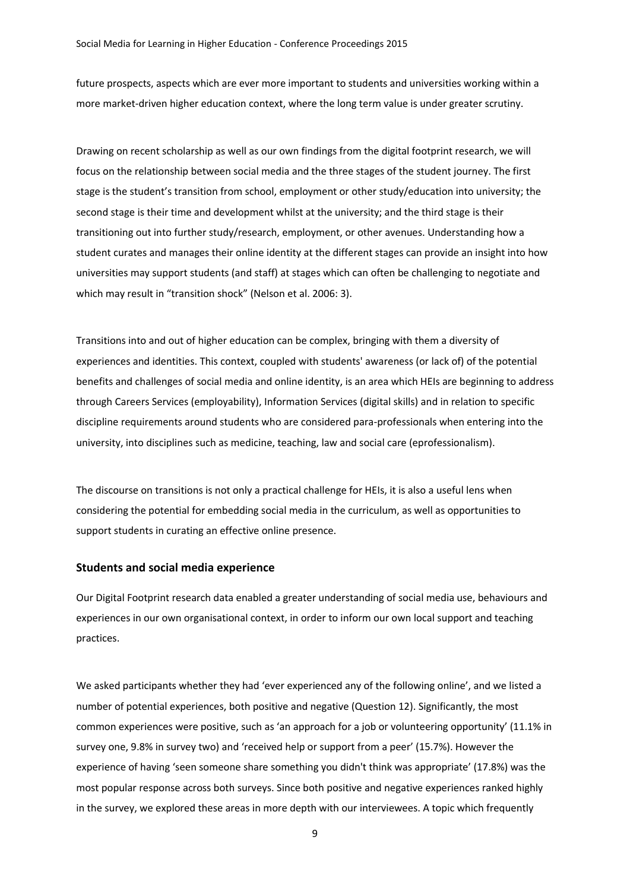future prospects, aspects which are ever more important to students and universities working within a more market-driven higher education context, where the long term value is under greater scrutiny.

Drawing on recent scholarship as well as our own findings from the digital footprint research, we will focus on the relationship between social media and the three stages of the student journey. The first stage is the student's transition from school, employment or other study/education into university; the second stage is their time and development whilst at the university; and the third stage is their transitioning out into further study/research, employment, or other avenues. Understanding how a student curates and manages their online identity at the different stages can provide an insight into how universities may support students (and staff) at stages which can often be challenging to negotiate and which may result in "transition shock" (Nelson et al. 2006: 3).

Transitions into and out of higher education can be complex, bringing with them a diversity of experiences and identities. This context, coupled with students' awareness (or lack of) of the potential benefits and challenges of social media and online identity, is an area which HEIs are beginning to address through Careers Services (employability), Information Services (digital skills) and in relation to specific discipline requirements around students who are considered para-professionals when entering into the university, into disciplines such as medicine, teaching, law and social care (eprofessionalism).

The discourse on transitions is not only a practical challenge for HEIs, it is also a useful lens when considering the potential for embedding social media in the curriculum, as well as opportunities to support students in curating an effective online presence.

#### **Students and social media experience**

Our Digital Footprint research data enabled a greater understanding of social media use, behaviours and experiences in our own organisational context, in order to inform our own local support and teaching practices.

We asked participants whether they had 'ever experienced any of the following online', and we listed a number of potential experiences, both positive and negative (Question 12). Significantly, the most common experiences were positive, such as 'an approach for a job or volunteering opportunity' (11.1% in survey one, 9.8% in survey two) and 'received help or support from a peer' (15.7%). However the experience of having 'seen someone share something you didn't think was appropriate' (17.8%) was the most popular response across both surveys. Since both positive and negative experiences ranked highly in the survey, we explored these areas in more depth with our interviewees. A topic which frequently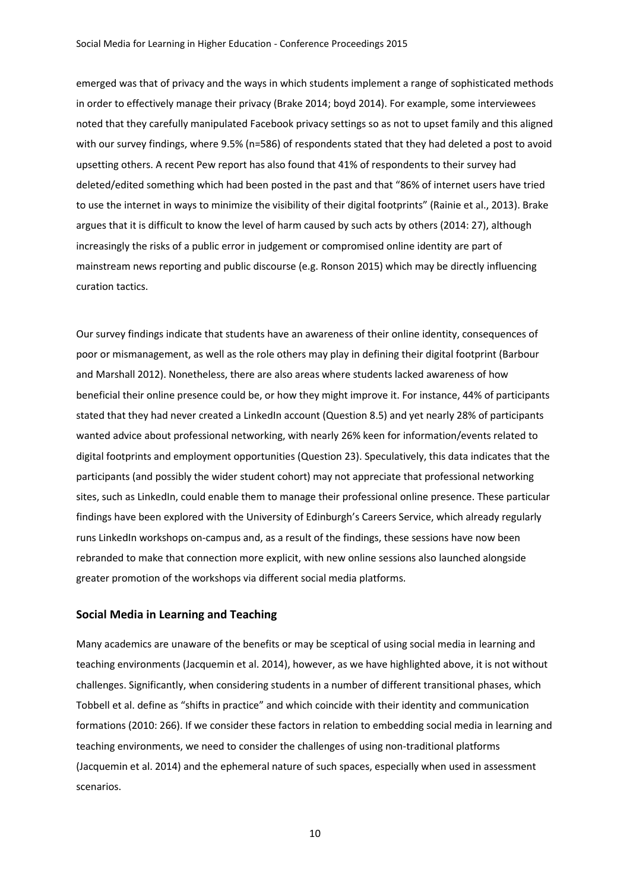emerged was that of privacy and the ways in which students implement a range of sophisticated methods in order to effectively manage their privacy (Brake 2014; boyd 2014). For example, some interviewees noted that they carefully manipulated Facebook privacy settings so as not to upset family and this aligned with our survey findings, where 9.5% (n=586) of respondents stated that they had deleted a post to avoid upsetting others. A recent Pew report has also found that 41% of respondents to their survey had deleted/edited something which had been posted in the past and that "86% of internet users have tried to use the internet in ways to minimize the visibility of their digital footprints" (Rainie et al., 2013). Brake argues that it is difficult to know the level of harm caused by such acts by others (2014: 27), although increasingly the risks of a public error in judgement or compromised online identity are part of mainstream news reporting and public discourse (e.g. Ronson 2015) which may be directly influencing curation tactics.

Our survey findings indicate that students have an awareness of their online identity, consequences of poor or mismanagement, as well as the role others may play in defining their digital footprint (Barbour and Marshall 2012). Nonetheless, there are also areas where students lacked awareness of how beneficial their online presence could be, or how they might improve it. For instance, 44% of participants stated that they had never created a LinkedIn account (Question 8.5) and yet nearly 28% of participants wanted advice about professional networking, with nearly 26% keen for information/events related to digital footprints and employment opportunities (Question 23). Speculatively, this data indicates that the participants (and possibly the wider student cohort) may not appreciate that professional networking sites, such as LinkedIn, could enable them to manage their professional online presence. These particular findings have been explored with the University of Edinburgh's Careers Service, which already regularly runs LinkedIn workshops on-campus and, as a result of the findings, these sessions have now been rebranded to make that connection more explicit, with new online sessions also launched alongside greater promotion of the workshops via different social media platforms.

## **Social Media in Learning and Teaching**

Many academics are unaware of the benefits or may be sceptical of using social media in learning and teaching environments (Jacquemin et al. 2014), however, as we have highlighted above, it is not without challenges. Significantly, when considering students in a number of different transitional phases, which Tobbell et al. define as "shifts in practice" and which coincide with their identity and communication formations (2010: 266). If we consider these factors in relation to embedding social media in learning and teaching environments, we need to consider the challenges of using non-traditional platforms (Jacquemin et al. 2014) and the ephemeral nature of such spaces, especially when used in assessment scenarios.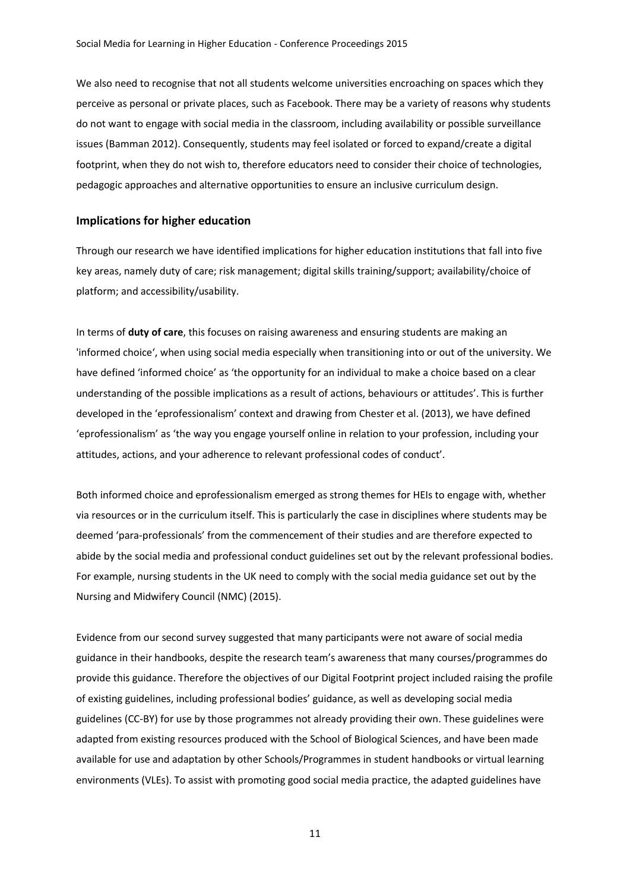We also need to recognise that not all students welcome universities encroaching on spaces which they perceive as personal or private places, such as Facebook. There may be a variety of reasons why students do not want to engage with social media in the classroom, including availability or possible surveillance issues (Bamman 2012). Consequently, students may feel isolated or forced to expand/create a digital footprint, when they do not wish to, therefore educators need to consider their choice of technologies, pedagogic approaches and alternative opportunities to ensure an inclusive curriculum design.

# **Implications for higher education**

Through our research we have identified implications for higher education institutions that fall into five key areas, namely duty of care; risk management; digital skills training/support; availability/choice of platform; and accessibility/usability.

In terms of **duty of care**, this focuses on raising awareness and ensuring students are making an 'informed choice', when using social media especially when transitioning into or out of the university. We have defined 'informed choice' as 'the opportunity for an individual to make a choice based on a clear understanding of the possible implications as a result of actions, behaviours or attitudes'. This is further developed in the 'eprofessionalism' context and drawing from Chester et al. (2013), we have defined 'eprofessionalism' as 'the way you engage yourself online in relation to your profession, including your attitudes, actions, and your adherence to relevant professional codes of conduct'.

Both informed choice and eprofessionalism emerged as strong themes for HEIs to engage with, whether via resources or in the curriculum itself. This is particularly the case in disciplines where students may be deemed 'para-professionals' from the commencement of their studies and are therefore expected to abide by the social media and professional conduct guidelines set out by the relevant professional bodies. For example, nursing students in the UK need to comply with the social media guidance set out by the Nursing and Midwifery Council (NMC) (2015).

Evidence from our second survey suggested that many participants were not aware of social media guidance in their handbooks, despite the research team's awareness that many courses/programmes do provide this guidance. Therefore the objectives of our Digital Footprint project included raising the profile of existing guidelines, including professional bodies' guidance, as well as developing social media guidelines (CC-BY) for use by those programmes not already providing their own. These guidelines were adapted from existing resources produced with the School of Biological Sciences, and have been made available for use and adaptation by other Schools/Programmes in student handbooks or virtual learning environments (VLEs). To assist with promoting good social media practice, the adapted guidelines have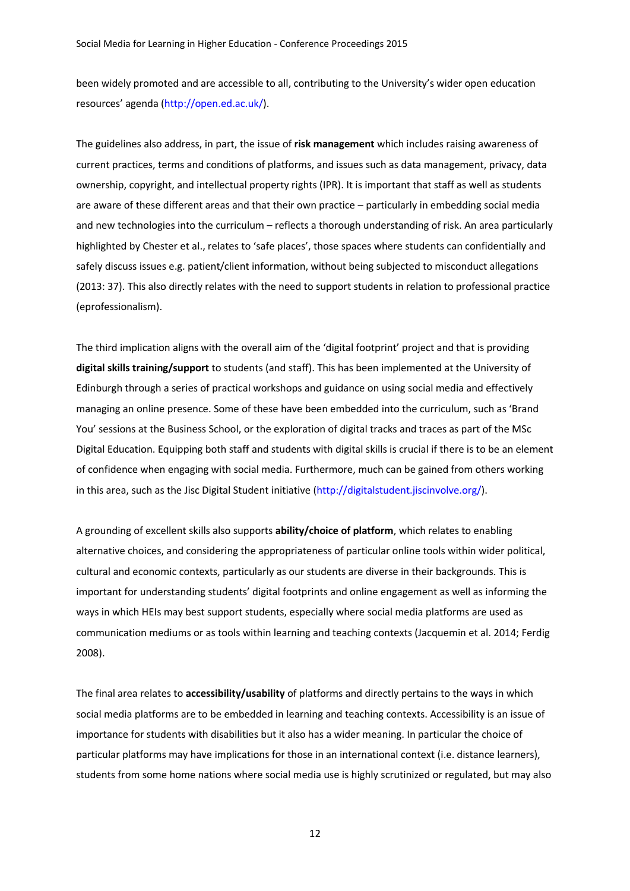been widely promoted and are accessible to all, contributing to the University's wider open education resources' agenda ([http://open.ed.ac.uk/\)](http://open.ed.ac.uk/).

The guidelines also address, in part, the issue of **risk management** which includes raising awareness of current practices, terms and conditions of platforms, and issues such as data management, privacy, data ownership, copyright, and intellectual property rights (IPR). It is important that staff as well as students are aware of these different areas and that their own practice – particularly in embedding social media and new technologies into the curriculum – reflects a thorough understanding of risk. An area particularly highlighted by Chester et al., relates to 'safe places', those spaces where students can confidentially and safely discuss issues e.g. patient/client information, without being subjected to misconduct allegations (2013: 37). This also directly relates with the need to support students in relation to professional practice (eprofessionalism).

The third implication aligns with the overall aim of the 'digital footprint' project and that is providing **digital skills training/support** to students (and staff). This has been implemented at the University of Edinburgh through a series of practical workshops and guidance on using social media and effectively managing an online presence. Some of these have been embedded into the curriculum, such as 'Brand You' sessions at the Business School, or the exploration of digital tracks and traces as part of the MSc Digital Education. Equipping both staff and students with digital skills is crucial if there is to be an element of confidence when engaging with social media. Furthermore, much can be gained from others working in this area, such as the Jisc Digital Student initiative [\(http://digitalstudent.jiscinvolve.org/\)](http://digitalstudent.jiscinvolve.org/).

A grounding of excellent skills also supports **ability/choice of platform**, which relates to enabling alternative choices, and considering the appropriateness of particular online tools within wider political, cultural and economic contexts, particularly as our students are diverse in their backgrounds. This is important for understanding students' digital footprints and online engagement as well as informing the ways in which HEIs may best support students, especially where social media platforms are used as communication mediums or as tools within learning and teaching contexts (Jacquemin et al. 2014; Ferdig 2008).

The final area relates to **accessibility/usability** of platforms and directly pertains to the ways in which social media platforms are to be embedded in learning and teaching contexts. Accessibility is an issue of importance for students with disabilities but it also has a wider meaning. In particular the choice of particular platforms may have implications for those in an international context (i.e. distance learners), students from some home nations where social media use is highly scrutinized or regulated, but may also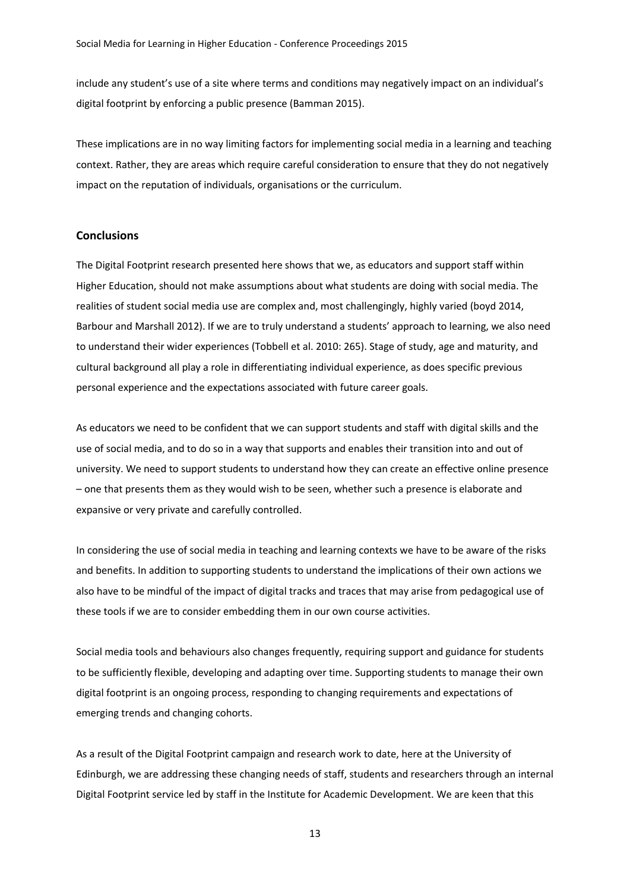include any student's use of a site where terms and conditions may negatively impact on an individual's digital footprint by enforcing a public presence (Bamman 2015).

These implications are in no way limiting factors for implementing social media in a learning and teaching context. Rather, they are areas which require careful consideration to ensure that they do not negatively impact on the reputation of individuals, organisations or the curriculum.

#### **Conclusions**

The Digital Footprint research presented here shows that we, as educators and support staff within Higher Education, should not make assumptions about what students are doing with social media. The realities of student social media use are complex and, most challengingly, highly varied (boyd 2014, Barbour and Marshall 2012). If we are to truly understand a students' approach to learning, we also need to understand their wider experiences (Tobbell et al. 2010: 265). Stage of study, age and maturity, and cultural background all play a role in differentiating individual experience, as does specific previous personal experience and the expectations associated with future career goals.

As educators we need to be confident that we can support students and staff with digital skills and the use of social media, and to do so in a way that supports and enables their transition into and out of university. We need to support students to understand how they can create an effective online presence – one that presents them as they would wish to be seen, whether such a presence is elaborate and expansive or very private and carefully controlled.

In considering the use of social media in teaching and learning contexts we have to be aware of the risks and benefits. In addition to supporting students to understand the implications of their own actions we also have to be mindful of the impact of digital tracks and traces that may arise from pedagogical use of these tools if we are to consider embedding them in our own course activities.

Social media tools and behaviours also changes frequently, requiring support and guidance for students to be sufficiently flexible, developing and adapting over time. Supporting students to manage their own digital footprint is an ongoing process, responding to changing requirements and expectations of emerging trends and changing cohorts.

As a result of the Digital Footprint campaign and research work to date, here at the University of Edinburgh, we are addressing these changing needs of staff, students and researchers through an internal Digital Footprint service led by staff in the Institute for Academic Development. We are keen that this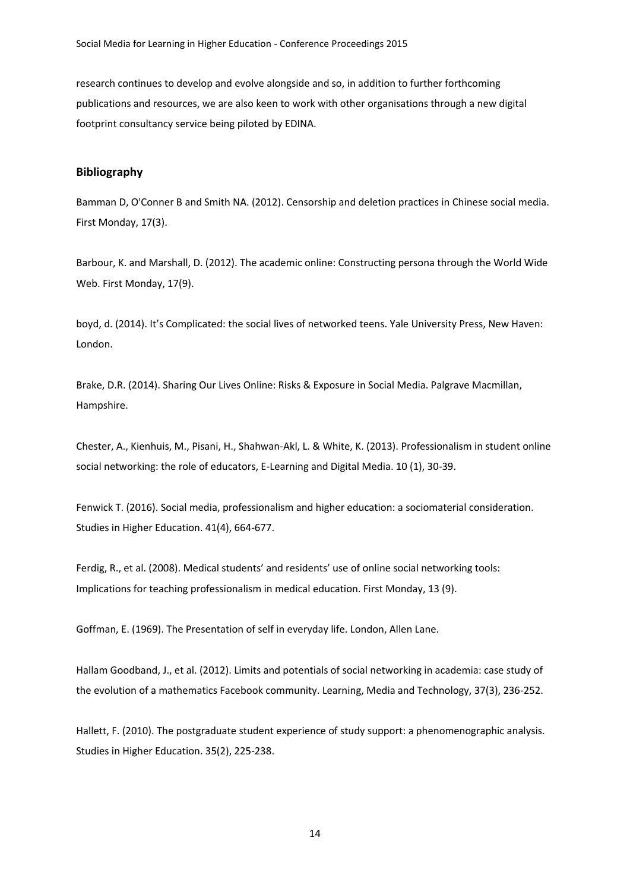research continues to develop and evolve alongside and so, in addition to further forthcoming publications and resources, we are also keen to work with other organisations through a new digital footprint consultancy service being piloted by EDINA.

# **Bibliography**

Bamman D, O'Conner B and Smith NA. (2012). Censorship and deletion practices in Chinese social media. First Monday, 17(3).

Barbour, K. and Marshall, D. (2012). The academic online: Constructing persona through the World Wide Web. First Monday, 17(9).

boyd, d. (2014). It's Complicated: the social lives of networked teens. Yale University Press, New Haven: London.

Brake, D.R. (2014). Sharing Our Lives Online: Risks & Exposure in Social Media. Palgrave Macmillan, Hampshire.

Chester, A., Kienhuis, M., Pisani, H., Shahwan-Akl, L. & White, K. (2013). Professionalism in student online social networking: the role of educators, E-Learning and Digital Media. 10 (1), 30-39.

Fenwick T. (2016). Social media, professionalism and higher education: a sociomaterial consideration. Studies in Higher Education. 41(4), 664-677.

Ferdig, R., et al. (2008). Medical students' and residents' use of online social networking tools: Implications for teaching professionalism in medical education. First Monday, 13 (9).

Goffman, E. (1969). The Presentation of self in everyday life. London, Allen Lane.

Hallam Goodband, J., et al. (2012). Limits and potentials of social networking in academia: case study of the evolution of a mathematics Facebook community. Learning, Media and Technology, 37(3), 236-252.

Hallett, F. (2010). The postgraduate student experience of study support: a phenomenographic analysis. Studies in Higher Education. 35(2), 225-238.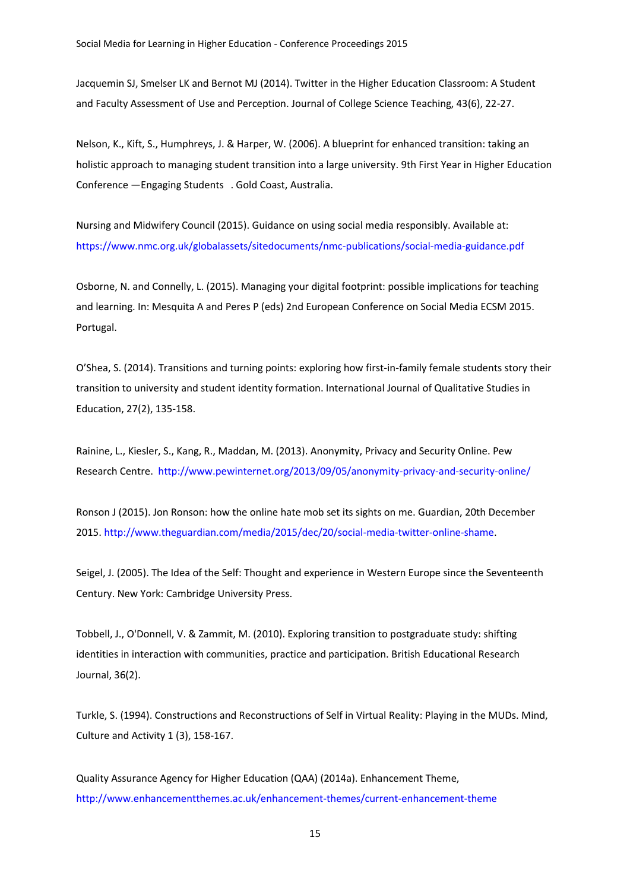Jacquemin SJ, Smelser LK and Bernot MJ (2014). Twitter in the Higher Education Classroom: A Student and Faculty Assessment of Use and Perception. Journal of College Science Teaching, 43(6), 22-27.

Nelson, K., Kift, S., Humphreys, J. & Harper, W. (2006). A blueprint for enhanced transition: taking an holistic approach to managing student transition into a large university. 9th First Year in Higher Education Conference — Engaging Students . Gold Coast, Australia.

Nursing and Midwifery Council (2015). Guidance on using social media responsibly. Available at: <https://www.nmc.org.uk/globalassets/sitedocuments/nmc-publications/social-media-guidance.pdf>

Osborne, N. and Connelly, L. (2015). Managing your digital footprint: possible implications for teaching and learning. In: Mesquita A and Peres P (eds) 2nd European Conference on Social Media ECSM 2015. Portugal.

O'Shea, S. (2014). Transitions and turning points: exploring how first-in-family female students story their transition to university and student identity formation. International Journal of Qualitative Studies in Education, 27(2), 135-158.

Rainine, L., Kiesler, S., Kang, R., Maddan, M. (2013). Anonymity, Privacy and Security Online. Pew Research Centre.<http://www.pewinternet.org/2013/09/05/anonymity-privacy-and-security-online/>

Ronson J (2015). Jon Ronson: how the online hate mob set its sights on me. Guardian, 20th December 2015. http://www.theguardian.com/media/2015/dec/20/social-media-twitter-online-shame.

Seigel, J. (2005). The Idea of the Self: Thought and experience in Western Europe since the Seventeenth Century. New York: Cambridge University Press.

Tobbell, J., O'Donnell, V. & Zammit, M. (2010). Exploring transition to postgraduate study: shifting identities in interaction with communities, practice and participation. British Educational Research Journal, 36(2).

Turkle, S. (1994). Constructions and Reconstructions of Self in Virtual Reality: Playing in the MUDs. Mind, Culture and Activity 1 (3), 158-167.

Quality Assurance Agency for Higher Education (QAA) (2014a). Enhancement Theme, <http://www.enhancementthemes.ac.uk/enhancement-themes/current-enhancement-theme>